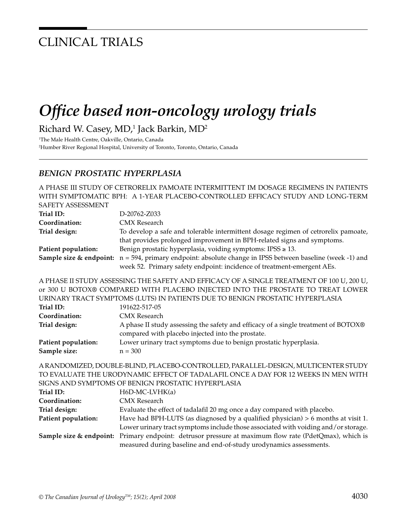## CLINICAL TRIALS

# *Office based non-oncology urology trials*

Richard W. Casey, MD,<sup>1</sup> Jack Barkin, MD<sup>2</sup>

1 The Male Health Centre, Oakville, Ontario, Canada 2 Humber River Regional Hospital, University of Toronto, Toronto, Ontario, Canada

#### *BENIGN PROSTATIC HYPERPLASIA*

A PHASE III STUDY OF CETRORELIX PAMOATE INTERMITTENT IM DOSAGE REGIMENS IN PATIENTS WITH SYMPTOMATIC BPH: A 1-YEAR PLACEBO-CONTROLLED EFFICACY STUDY AND LONG-TERM SAFETY ASSESSMENT **Trial ID:** D-20762-Z033 **Coordination:** CMX Research **Trial design:** To develop a safe and tolerable intermittent dosage regimen of cetrorelix pamoate, that provides prolonged improvement in BPH-related signs and symptoms. **Patient population:** Benign prostatic hyperplasia, voiding symptoms: IPSS ≥ 13. **Sample size & endpoint:** n = 594, primary endpoint: absolute change in IPSS between baseline (week -1) and week 52. Primary safety endpoint: incidence of treatment-emergent AEs. A PHASE II STUDY ASSESSING THE SAFETY AND EFFICACY OF A SINGLE TREATMENT OF 100 U, 200 U, or 300 U BOTOX® COMPARED WITH PLACEBO INJECTED INTO THE PROSTATE TO TREAT LOWER URINARY TRACT SYMPTOMS (LUTS) IN PATIENTS DUE TO BENIGN PROSTATIC HYPERPLASIA **Trial ID:** 191622-517-05 **Coordination:** CMX Research **Trial design:** A phase II study assessing the safety and efficacy of a single treatment of BOTOX® compared with placebo injected into the prostate. **Patient population:** Lower urinary tract symptoms due to benign prostatic hyperplasia. **Sample size:**  $n = 300$ A RANDOMIZED, DOUBLE-BLIND, PLACEBO-CONTROLLED, PARALLEL-DESIGN, MULTICENTER STUDY TO EVALUATE THE URODYNAMIC EFFECT OF TADALAFIL ONCE A DAY FOR 12 WEEKS IN MEN WITH SIGNS AND SYMPTOMS OF BENIGN PROSTATIC HYPERPLASIA Trial ID: H6D-MC-LVHK(a) **Coordination:** CMX Research **Trial design:** Evaluate the effect of tadalafil 20 mg once a day compared with placebo.

**Patient population:** Have had BPH-LUTS (as diagnosed by a qualified physician) > 6 months at visit 1. Lower urinary tract symptoms include those associated with voiding and/or storage. **Sample size & endpoint:** Primary endpoint: detrusor pressure at maximum flow rate (PdetQmax), which is measured during baseline and end-of-study urodynamics assessments.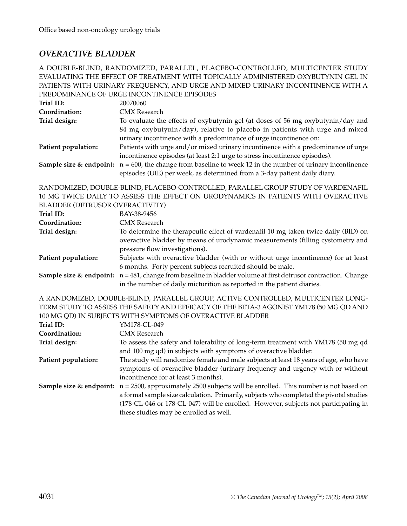#### *OVERACTIVE BLADDER*

#### A DOUBLE-BLIND, RANDOMIZED, PARALLEL, PLACEBO-CONTROLLED, MULTICENTER STUDY EVALUATING THE EFFECT OF TREATMENT WITH TOPICALLY ADMINISTERED OXYBUTYNIN GEL IN PATIENTS WITH URINARY FREQUENCY, AND URGE AND MIXED URINARY INCONTINENCE WITH A PREDOMINANCE OF URGE INCONTINENCE EPISODES

| Trial ID:           | 20070060                                                                                                                 |
|---------------------|--------------------------------------------------------------------------------------------------------------------------|
| Coordination:       | <b>CMX</b> Research                                                                                                      |
| Trial design:       | To evaluate the effects of oxybutynin gel (at doses of 56 mg oxybutynin/day and                                          |
|                     | 84 mg oxybutynin/day), relative to placebo in patients with urge and mixed                                               |
|                     | urinary incontinence with a predominance of urge incontinence on:                                                        |
| Patient population: | Patients with urge and/or mixed urinary incontinence with a predominance of urge                                         |
|                     | incontinence episodes (at least 2:1 urge to stress incontinence episodes).                                               |
|                     | <b>Sample size &amp; endpoint:</b> $n = 600$ , the change from baseline to week 12 in the number of urinary incontinence |
|                     | episodes (UIE) per week, as determined from a 3-day patient daily diary.                                                 |

RANDOMIZED, DOUBLE-BLIND, PLACEBO-CONTROLLED, PARALLEL GROUP STUDY OF VARDENAFIL 10 MG TWICE DAILY TO ASSESS THE EFFECT ON URODYNAMICS IN PATIENTS WITH OVERACTIVE BLADDER (DETRUSOR OVERACTIVITY)

| Trial ID:           | BAY-38-9456                                                                                                                 |
|---------------------|-----------------------------------------------------------------------------------------------------------------------------|
| Coordination:       | CMX Research                                                                                                                |
| Trial design:       | To determine the therapeutic effect of vardenafil 10 mg taken twice daily (BID) on                                          |
|                     | overactive bladder by means of urodynamic measurements (filling cystometry and<br>pressure flow investigations).            |
| Patient population: | Subjects with overactive bladder (with or without urge incontinence) for at least                                           |
|                     | 6 months. Forty percent subjects recruited should be male.                                                                  |
|                     | <b>Sample size &amp; endpoint:</b> $n = 481$ , change from baseline in bladder volume at first detrusor contraction. Change |
|                     | in the number of daily micturition as reported in the patient diaries.                                                      |

A RANDOMIZED, DOUBLE-BLIND, PARALLEL GROUP, ACTIVE CONTROLLED, MULTICENTER LONG-TERM STUDY TO ASSESS THE SAFETY AND EFFICACY OF THE BETA-3 AGONIST YM178 (50 MG QD AND 100 MG QD) IN SUBJECTS WITH SYMPTOMS OF OVERACTIVE BLADDER

|                     | 100 MO 027 IN 00D DOID THILL 01ML TOMO OF OT BRITISH BEHODEN                                                                                                                                                                                                                                                                                          |
|---------------------|-------------------------------------------------------------------------------------------------------------------------------------------------------------------------------------------------------------------------------------------------------------------------------------------------------------------------------------------------------|
| Trial ID:           | YM178-CL-049                                                                                                                                                                                                                                                                                                                                          |
| Coordination:       | <b>CMX</b> Research                                                                                                                                                                                                                                                                                                                                   |
| Trial design:       | To assess the safety and tolerability of long-term treatment with YM178 (50 mg qd<br>and 100 mg qd) in subjects with symptoms of overactive bladder.                                                                                                                                                                                                  |
| Patient population: | The study will randomize female and male subjects at least 18 years of age, who have<br>symptoms of overactive bladder (urinary frequency and urgency with or without<br>incontinence for at least 3 months).                                                                                                                                         |
|                     | <b>Sample size &amp; endpoint:</b> $n = 2500$ , approximately 2500 subjects will be enrolled. This number is not based on<br>a formal sample size calculation. Primarily, subjects who completed the pivotal studies<br>(178-CL-046 or 178-CL-047) will be enrolled. However, subjects not participating in<br>these studies may be enrolled as well. |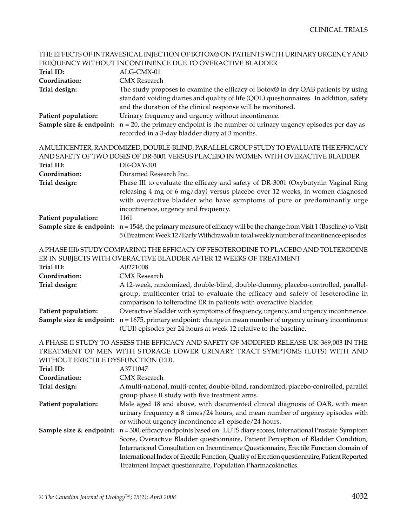|                                                                                                                                                                                                              | THE EFFECTS OF INTRAVESICAL INJECTION OF BOTOX® ON PATIENTS WITH URINARY URGENCY AND                                                                                                                                                                                                                                                                                                                                                   |  |
|--------------------------------------------------------------------------------------------------------------------------------------------------------------------------------------------------------------|----------------------------------------------------------------------------------------------------------------------------------------------------------------------------------------------------------------------------------------------------------------------------------------------------------------------------------------------------------------------------------------------------------------------------------------|--|
|                                                                                                                                                                                                              | FREQUENCY WITHOUT INCONTINENCE DUE TO OVERACTIVE BLADDER                                                                                                                                                                                                                                                                                                                                                                               |  |
| Trial ID:                                                                                                                                                                                                    | ALG-CMX-01                                                                                                                                                                                                                                                                                                                                                                                                                             |  |
| Coordination:                                                                                                                                                                                                | <b>CMX</b> Research                                                                                                                                                                                                                                                                                                                                                                                                                    |  |
| Trial design:                                                                                                                                                                                                | The study proposes to examine the efficacy of Botox® in dry OAB patients by using<br>standard voiding diaries and quality of life (QOL) questionnaires. In addition, safety<br>and the duration of the clinical response will be monitored.                                                                                                                                                                                            |  |
| Patient population:                                                                                                                                                                                          | Urinary frequency and urgency without incontinence.                                                                                                                                                                                                                                                                                                                                                                                    |  |
|                                                                                                                                                                                                              | <b>Sample size &amp; endpoint:</b> $n = 20$ , the primary endpoint is the number of urinary urgency episodes per day as<br>recorded in a 3-day bladder diary at 3 months.                                                                                                                                                                                                                                                              |  |
| AMULTICENTER, RANDOMIZED, DOUBLE-BLIND, PARALLEL GROUP STUDY TO EVALUATE THE EFFICACY<br>AND SAFETY OF TWO DOSES OF DR-3001 VERSUS PLACEBO IN WOMEN WITH OVERACTIVE BLADDER                                  |                                                                                                                                                                                                                                                                                                                                                                                                                                        |  |
| Trial ID:                                                                                                                                                                                                    | DR-OXY-301                                                                                                                                                                                                                                                                                                                                                                                                                             |  |
| Coordination:<br>Trial design:                                                                                                                                                                               | Duramed Research Inc.<br>Phase III to evaluate the efficacy and safety of DR-3001 (Oxybutynin Vaginal Ring<br>releasing 4 mg or 6 mg/day) versus placebo over 12 weeks, in women diagnosed<br>with overactive bladder who have symptoms of pure or predominantly urge<br>incontinence, urgency and frequency.                                                                                                                          |  |
| Patient population:                                                                                                                                                                                          | 1161<br><b>Sample size &amp; endpoint:</b> $n = 1548$ , the primary measure of efficacy will be the change from Visit 1 (Baseline) to Visit<br>5 (Treatment Week 12/Early Withdrawal) in total weekly number of incontinence episodes.                                                                                                                                                                                                 |  |
| Trial ID:<br>Coordination:                                                                                                                                                                                   | A PHASE IIIb STUDY COMPARING THE EFFICACY OF FESOTERODINE TO PLACEBO AND TOLTERODINE<br>ER IN SUBJECTS WITH OVERACTIVE BLADDER AFTER 12 WEEKS OF TREATMENT<br>A0221008<br><b>CMX</b> Research                                                                                                                                                                                                                                          |  |
| Trial design:                                                                                                                                                                                                | A 12-week, randomized, double-blind, double-dummy, placebo-controlled, parallel-<br>group, multicenter trial to evaluate the efficacy and safety of fesoterodine in<br>comparison to tolterodine ER in patients with overactive bladder.                                                                                                                                                                                               |  |
| Patient population:                                                                                                                                                                                          | Overactive bladder with symptoms of frequency, urgency, and urgency incontinence.<br>Sample size & endpoint: $n = 1675$ , primary endpoint: change in mean number of urgency urinary incontinence<br>(UUI) episodes per 24 hours at week 12 relative to the baseline.                                                                                                                                                                  |  |
| A PHASE II STUDY TO ASSESS THE EFFICACY AND SAFETY OF MODIFIED RELEASE UK-369,003 IN THE<br>TREATMENT OF MEN WITH STORAGE LOWER URINARY TRACT SYMPTOMS (LUTS) WITH AND<br>WITHOUT ERECTILE DYSFUNCTION (ED). |                                                                                                                                                                                                                                                                                                                                                                                                                                        |  |
| Trial ID:                                                                                                                                                                                                    | A3711047                                                                                                                                                                                                                                                                                                                                                                                                                               |  |
| Coordination:                                                                                                                                                                                                | <b>CMX</b> Research                                                                                                                                                                                                                                                                                                                                                                                                                    |  |
| Trial design:                                                                                                                                                                                                | A multi-national, multi-center, double-blind, randomized, placebo-controlled, parallel<br>group phase II study with five treatment arms.                                                                                                                                                                                                                                                                                               |  |
| Patient population:                                                                                                                                                                                          | Male aged 18 and above, with documented clinical diagnosis of OAB, with mean<br>urinary frequency $\geq 8$ times/24 hours, and mean number of urgency episodes with<br>or without urgency incontinence ≥1 episode/24 hours.                                                                                                                                                                                                            |  |
| Sample size & endpoint:                                                                                                                                                                                      | n = 300, efficacy endpoints based on: LUTS diary scores, International Prostate Symptom<br>Score, Overactive Bladder questionnaire, Patient Perception of Bladder Condition,<br>International Consultation on Incontinence Questionnaire, Erectile Function domain of<br>International Index of Erectile Function, Quality of Erection questionnaire, Patient Reported<br>Treatment Impact questionnaire, Population Pharmacokinetics. |  |